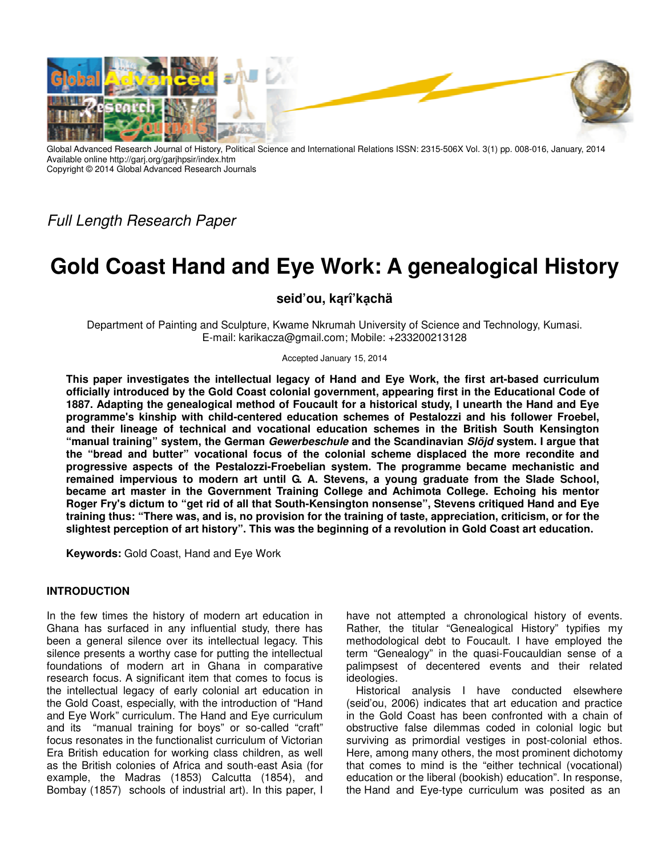

Global Advanced Research Journal of History, Political Science and International Relations ISSN: 2315-506X Vol. 3(1) pp. 008-016, January, 2014 Available online http://garj.org/garjhpsir/index.htm Copyright © 2014 Global Advanced Research Journals

Full Length Research Paper

# **Gold Coast Hand and Eye Work: A genealogical History**

## **seid'ou, kąrî'kạchä**

Department of Painting and Sculpture, Kwame Nkrumah University of Science and Technology, Kumasi. E-mail: karikacza@gmail.com; Mobile: +233200213128

#### Accepted January 15, 2014

**This paper investigates the intellectual legacy of Hand and Eye Work, the first art-based curriculum officially introduced by the Gold Coast colonial government, appearing first in the Educational Code of 1887. Adapting the genealogical method of Foucault for a historical study, I unearth the Hand and Eye programme's kinship with child-centered education schemes of Pestalozzi and his follower Froebel, and their lineage of technical and vocational education schemes in the British South Kensington "manual training" system, the German Gewerbeschule and the Scandinavian Slöjd system. I argue that the "bread and butter" vocational focus of the colonial scheme displaced the more recondite and progressive aspects of the Pestalozzi-Froebelian system. The programme became mechanistic and remained impervious to modern art until G. A. Stevens, a young graduate from the Slade School, became art master in the Government Training College and Achimota College. Echoing his mentor Roger Fry's dictum to "get rid of all that South-Kensington nonsense", Stevens critiqued Hand and Eye training thus: "There was, and is, no provision for the training of taste, appreciation, criticism, or for the slightest perception of art history". This was the beginning of a revolution in Gold Coast art education.** 

**Keywords:** Gold Coast, Hand and Eye Work

### **INTRODUCTION**

In the few times the history of modern art education in Ghana has surfaced in any influential study, there has been a general silence over its intellectual legacy. This silence presents a worthy case for putting the intellectual foundations of modern art in Ghana in comparative research focus. A significant item that comes to focus is the intellectual legacy of early colonial art education in the Gold Coast, especially, with the introduction of "Hand and Eye Work" curriculum. The Hand and Eye curriculum and its "manual training for boys" or so-called "craft" focus resonates in the functionalist curriculum of Victorian Era British education for working class children, as well as the British colonies of Africa and south-east Asia (for example, the Madras (1853) Calcutta (1854), and Bombay (1857) schools of industrial art). In this paper, I have not attempted a chronological history of events. Rather, the titular "Genealogical History" typifies my methodological debt to Foucault. I have employed the term "Genealogy" in the quasi-Foucauldian sense of a palimpsest of decentered events and their related ideologies.

Historical analysis I have conducted elsewhere (seid'ou, 2006) indicates that art education and practice in the Gold Coast has been confronted with a chain of obstructive false dilemmas coded in colonial logic but surviving as primordial vestiges in post-colonial ethos. Here, among many others, the most prominent dichotomy that comes to mind is the "either technical (vocational) education or the liberal (bookish) education". In response, the Hand and Eye-type curriculum was posited as an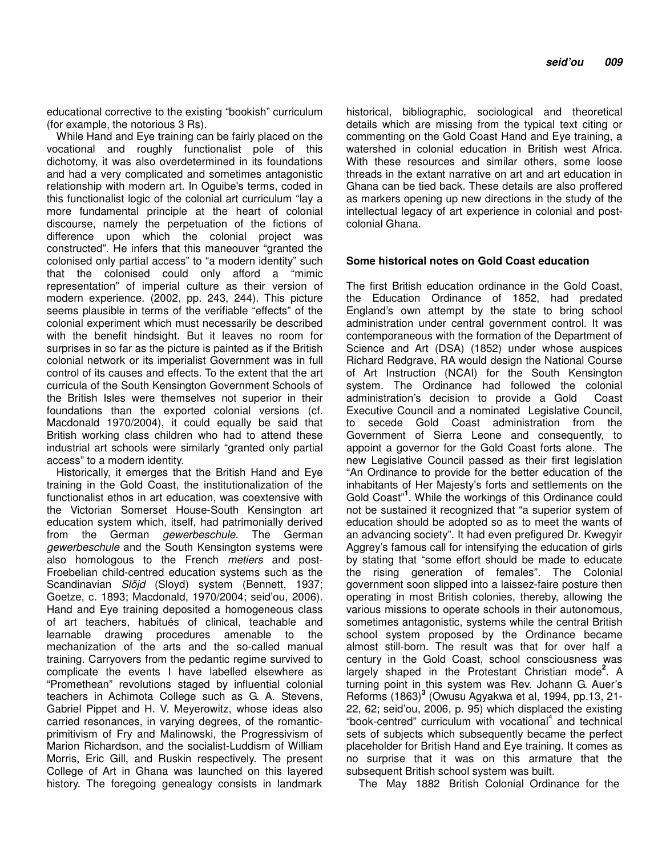educational corrective to the existing "bookish" curriculum (for example, the notorious 3 Rs).

While Hand and Eye training can be fairly placed on the vocational and roughly functionalist pole of this dichotomy, it was also overdetermined in its foundations and had a very complicated and sometimes antagonistic relationship with modern art. In Oguibe's terms, coded in this functionalist logic of the colonial art curriculum "lay a more fundamental principle at the heart of colonial discourse, namely the perpetuation of the fictions of difference upon which the colonial project was constructed". He infers that this maneouver "granted the colonised only partial access" to "a modern identity" such that the colonised could only afford a "mimic representation" of imperial culture as their version of modern experience. (2002, pp. 243, 244). This picture seems plausible in terms of the verifiable "effects" of the colonial experiment which must necessarily be described with the benefit hindsight. But it leaves no room for surprises in so far as the picture is painted as if the British colonial network or its imperialist Government was in full control of its causes and effects. To the extent that the art curricula of the South Kensington Government Schools of the British Isles were themselves not superior in their foundations than the exported colonial versions (cf. Macdonald 1970/2004), it could equally be said that British working class children who had to attend these industrial art schools were similarly "granted only partial access" to a modern identity.

Historically, it emerges that the British Hand and Eye training in the Gold Coast, the institutionalization of the functionalist ethos in art education, was coextensive with the Victorian Somerset House-South Kensington art education system which, itself, had patrimonially derived from the German gewerbeschule. The German gewerbeschule and the South Kensington systems were also homologous to the French metiers and post-Froebelian child-centred education systems such as the Scandinavian Slöjd (Sloyd) system (Bennett, 1937; Goetze, c. 1893; Macdonald, 1970/2004; seid'ou, 2006). Hand and Eye training deposited a homogeneous class of art teachers, habitués of clinical, teachable and learnable drawing procedures amenable to the mechanization of the arts and the so-called manual training. Carryovers from the pedantic regime survived to complicate the events I have labelled elsewhere as "Promethean" revolutions staged by influential colonial teachers in Achimota College such as G. A. Stevens, Gabriel Pippet and H. V. Meyerowitz, whose ideas also carried resonances, in varying degrees, of the romanticprimitivism of Fry and Malinowski, the Progressivism of Marion Richardson, and the socialist-Luddism of William Morris, Eric Gill, and Ruskin respectively. The present College of Art in Ghana was launched on this layered history. The foregoing genealogy consists in landmark historical, bibliographic, sociological and theoretical details which are missing from the typical text citing or commenting on the Gold Coast Hand and Eye training, a watershed in colonial education in British west Africa. With these resources and similar others, some loose threads in the extant narrative on art and art education in Ghana can be tied back. These details are also proffered as markers opening up new directions in the study of the intellectual legacy of art experience in colonial and postcolonial Ghana.

### **Some historical notes on Gold Coast education**

The first British education ordinance in the Gold Coast, the Education Ordinance of 1852, had predated England's own attempt by the state to bring school administration under central government control. It was contemporaneous with the formation of the Department of Science and Art (DSA) (1852) under whose auspices Richard Redgrave, RA would design the National Course of Art Instruction (NCAI) for the South Kensington system. The Ordinance had followed the colonial administration's decision to provide a Gold Coast Executive Council and a nominated Legislative Council, to secede Gold Coast administration from the Government of Sierra Leone and consequently, to appoint a governor for the Gold Coast forts alone. The new Legislative Council passed as their first legislation "An Ordinance to provide for the better education of the inhabitants of Her Majesty's forts and settlements on the Gold Coast"**<sup>1</sup>** . While the workings of this Ordinance could not be sustained it recognized that "a superior system of education should be adopted so as to meet the wants of an advancing society". It had even prefigured Dr. Kwegyir Aggrey's famous call for intensifying the education of girls by stating that "some effort should be made to educate the rising generation of females". The Colonial government soon slipped into a laissez-faire posture then operating in most British colonies, thereby, allowing the various missions to operate schools in their autonomous, sometimes antagonistic, systems while the central British school system proposed by the Ordinance became almost still-born. The result was that for over half a century in the Gold Coast, school consciousness was largely shaped in the Protestant Christian mode**<sup>2</sup>** . A turning point in this system was Rev. Johann G. Auer's Reforms (1863)**<sup>3</sup>** (Owusu Agyakwa et al, 1994, pp.13, 21- 22, 62; seid'ou, 2006, p. 95) which displaced the existing "book-centred" curriculum with vocational<sup>4</sup> and technical sets of subjects which subsequently became the perfect placeholder for British Hand and Eye training. It comes as no surprise that it was on this armature that the subsequent British school system was built.

The May 1882 British Colonial Ordinance for the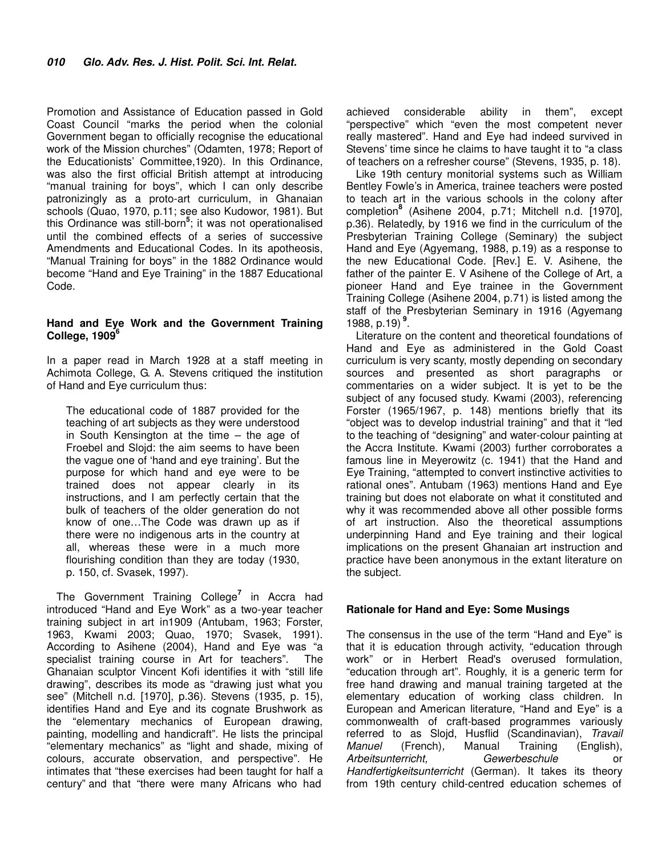Promotion and Assistance of Education passed in Gold Coast Council "marks the period when the colonial Government began to officially recognise the educational work of the Mission churches" (Odamten, 1978; Report of the Educationists' Committee,1920). In this Ordinance, was also the first official British attempt at introducing "manual training for boys", which I can only describe patronizingly as a proto-art curriculum, in Ghanaian schools (Quao, 1970, p.11; see also Kudowor, 1981). But this Ordinance was still-born**<sup>5</sup>** ; it was not operationalised until the combined effects of a series of successive Amendments and Educational Codes. In its apotheosis, "Manual Training for boys" in the 1882 Ordinance would become "Hand and Eye Training" in the 1887 Educational Code.

### **Hand and Eye Work and the Government Training College, 1909<sup>6</sup>**

In a paper read in March 1928 at a staff meeting in Achimota College, G. A. Stevens critiqued the institution of Hand and Eye curriculum thus:

The educational code of 1887 provided for the teaching of art subjects as they were understood in South Kensington at the time – the age of Froebel and Slojd: the aim seems to have been the vague one of 'hand and eye training'. But the purpose for which hand and eye were to be trained does not appear clearly in its instructions, and I am perfectly certain that the bulk of teachers of the older generation do not know of one…The Code was drawn up as if there were no indigenous arts in the country at all, whereas these were in a much more flourishing condition than they are today (1930, p. 150, cf. Svasek, 1997).

The Government Training College**<sup>7</sup>** in Accra had introduced "Hand and Eye Work" as a two-year teacher training subject in art in1909 (Antubam, 1963; Forster, 1963, Kwami 2003; Quao, 1970; Svasek, 1991). According to Asihene (2004), Hand and Eye was "a specialist training course in Art for teachers". The Ghanaian sculptor Vincent Kofi identifies it with "still life drawing", describes its mode as "drawing just what you see" (Mitchell n.d. [1970], p.36). Stevens (1935, p. 15), identifies Hand and Eye and its cognate Brushwork as the "elementary mechanics of European drawing, painting, modelling and handicraft". He lists the principal "elementary mechanics" as "light and shade, mixing of colours, accurate observation, and perspective". He intimates that "these exercises had been taught for half a century" and that "there were many Africans who had

achieved considerable ability in them", except "perspective" which "even the most competent never really mastered". Hand and Eye had indeed survived in Stevens' time since he claims to have taught it to "a class of teachers on a refresher course" (Stevens, 1935, p. 18).

Like 19th century monitorial systems such as William Bentley Fowle's in America, trainee teachers were posted to teach art in the various schools in the colony after completion**<sup>8</sup>** (Asihene 2004, p.71; Mitchell n.d. [1970], p.36). Relatedly, by 1916 we find in the curriculum of the Presbyterian Training College (Seminary) the subject Hand and Eye (Agyemang, 1988, p.19) as a response to the new Educational Code. [Rev.] E. V. Asihene, the father of the painter E. V Asihene of the College of Art, a pioneer Hand and Eye trainee in the Government Training College (Asihene 2004, p.71) is listed among the staff of the Presbyterian Seminary in 1916 (Agyemang 1988, p.19)**<sup>9</sup>** .

Literature on the content and theoretical foundations of Hand and Eye as administered in the Gold Coast curriculum is very scanty, mostly depending on secondary sources and presented as short paragraphs or commentaries on a wider subject. It is yet to be the subject of any focused study. Kwami (2003), referencing Forster (1965/1967, p. 148) mentions briefly that its "object was to develop industrial training" and that it "led to the teaching of "designing" and water-colour painting at the Accra Institute. Kwami (2003) further corroborates a famous line in Meyerowitz (c. 1941) that the Hand and Eye Training, "attempted to convert instinctive activities to rational ones". Antubam (1963) mentions Hand and Eye training but does not elaborate on what it constituted and why it was recommended above all other possible forms of art instruction. Also the theoretical assumptions underpinning Hand and Eye training and their logical implications on the present Ghanaian art instruction and practice have been anonymous in the extant literature on the subject.

### **Rationale for Hand and Eye: Some Musings**

The consensus in the use of the term "Hand and Eye" is that it is education through activity, "education through work" or in Herbert Read's overused formulation, "education through art". Roughly, it is a generic term for free hand drawing and manual training targeted at the elementary education of working class children. In European and American literature, "Hand and Eye" is a commonwealth of craft-based programmes variously referred to as Slojd, Husflid (Scandinavian), Travail Manuel (French), Manual Training (English), Arbeitsunterricht, Gewerbeschule or Handfertigkeitsunterricht (German). It takes its theory from 19th century child-centred education schemes of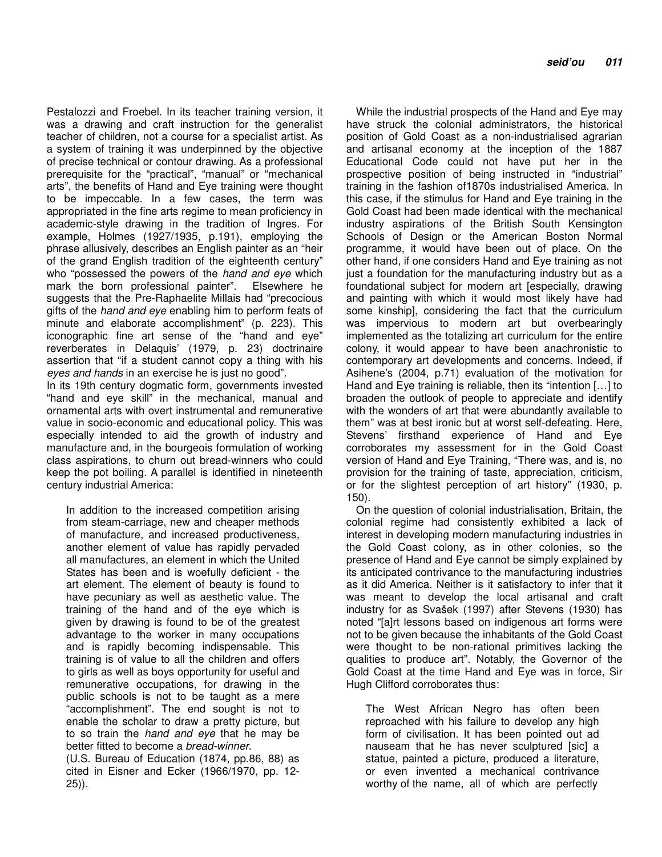Pestalozzi and Froebel. In its teacher training version, it was a drawing and craft instruction for the generalist teacher of children, not a course for a specialist artist. As a system of training it was underpinned by the objective of precise technical or contour drawing. As a professional prerequisite for the "practical", "manual" or "mechanical arts", the benefits of Hand and Eye training were thought to be impeccable. In a few cases, the term was appropriated in the fine arts regime to mean proficiency in academic-style drawing in the tradition of Ingres. For example, Holmes (1927/1935, p.191), employing the phrase allusively, describes an English painter as an "heir of the grand English tradition of the eighteenth century" who "possessed the powers of the hand and eye which mark the born professional painter". Elsewhere he suggests that the Pre-Raphaelite Millais had "precocious gifts of the *hand and eye* enabling him to perform feats of minute and elaborate accomplishment" (p. 223). This iconographic fine art sense of the "hand and eye" reverberates in Delaquis' (1979, p. 23) doctrinaire assertion that "if a student cannot copy a thing with his eyes and hands in an exercise he is just no good".

In its 19th century dogmatic form, governments invested "hand and eye skill" in the mechanical, manual and ornamental arts with overt instrumental and remunerative value in socio-economic and educational policy. This was especially intended to aid the growth of industry and manufacture and, in the bourgeois formulation of working class aspirations, to churn out bread-winners who could keep the pot boiling. A parallel is identified in nineteenth century industrial America:

In addition to the increased competition arising from steam-carriage, new and cheaper methods of manufacture, and increased productiveness, another element of value has rapidly pervaded all manufactures, an element in which the United States has been and is woefully deficient - the art element. The element of beauty is found to have pecuniary as well as aesthetic value. The training of the hand and of the eye which is given by drawing is found to be of the greatest advantage to the worker in many occupations and is rapidly becoming indispensable. This training is of value to all the children and offers to girls as well as boys opportunity for useful and remunerative occupations, for drawing in the public schools is not to be taught as a mere "accomplishment". The end sought is not to enable the scholar to draw a pretty picture, but to so train the hand and eye that he may be better fitted to become a bread-winner.

(U.S. Bureau of Education (1874, pp.86, 88) as cited in Eisner and Ecker (1966/1970, pp. 12- 25)).

While the industrial prospects of the Hand and Eye may have struck the colonial administrators, the historical position of Gold Coast as a non-industrialised agrarian and artisanal economy at the inception of the 1887 Educational Code could not have put her in the prospective position of being instructed in "industrial" training in the fashion of1870s industrialised America. In this case, if the stimulus for Hand and Eye training in the Gold Coast had been made identical with the mechanical industry aspirations of the British South Kensington Schools of Design or the American Boston Normal programme, it would have been out of place. On the other hand, if one considers Hand and Eye training as not just a foundation for the manufacturing industry but as a foundational subject for modern art [especially, drawing and painting with which it would most likely have had some kinship], considering the fact that the curriculum was impervious to modern art but overbearingly implemented as the totalizing art curriculum for the entire colony, it would appear to have been anachronistic to contemporary art developments and concerns. Indeed, if Asihene's (2004, p.71) evaluation of the motivation for Hand and Eye training is reliable, then its "intention […] to broaden the outlook of people to appreciate and identify with the wonders of art that were abundantly available to them" was at best ironic but at worst self-defeating. Here, Stevens' firsthand experience of Hand and Eye corroborates my assessment for in the Gold Coast version of Hand and Eye Training, "There was, and is, no provision for the training of taste, appreciation, criticism, or for the slightest perception of art history" (1930, p. 150).

On the question of colonial industrialisation, Britain, the colonial regime had consistently exhibited a lack of interest in developing modern manufacturing industries in the Gold Coast colony, as in other colonies, so the presence of Hand and Eye cannot be simply explained by its anticipated contrivance to the manufacturing industries as it did America. Neither is it satisfactory to infer that it was meant to develop the local artisanal and craft industry for as Svašek (1997) after Stevens (1930) has noted "[a]rt lessons based on indigenous art forms were not to be given because the inhabitants of the Gold Coast were thought to be non-rational primitives lacking the qualities to produce art". Notably, the Governor of the Gold Coast at the time Hand and Eye was in force, Sir Hugh Clifford corroborates thus:

The West African Negro has often been reproached with his failure to develop any high form of civilisation. It has been pointed out ad nauseam that he has never sculptured [sic] a statue, painted a picture, produced a literature, or even invented a mechanical contrivance worthy of the name, all of which are perfectly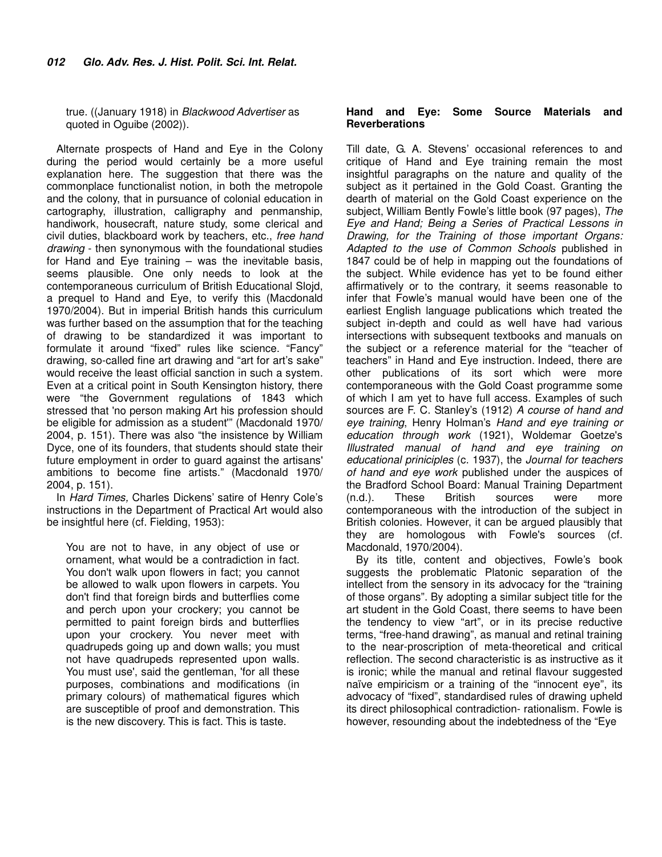true. ((January 1918) in Blackwood Advertiser as quoted in Oguibe (2002)).

Alternate prospects of Hand and Eye in the Colony during the period would certainly be a more useful explanation here. The suggestion that there was the commonplace functionalist notion, in both the metropole and the colony, that in pursuance of colonial education in cartography, illustration, calligraphy and penmanship, handiwork, housecraft, nature study, some clerical and civil duties, blackboard work by teachers, etc., free hand drawing - then synonymous with the foundational studies for Hand and Eye training – was the inevitable basis, seems plausible. One only needs to look at the contemporaneous curriculum of British Educational Slojd, a prequel to Hand and Eye, to verify this (Macdonald 1970/2004). But in imperial British hands this curriculum was further based on the assumption that for the teaching of drawing to be standardized it was important to formulate it around "fixed" rules like science. "Fancy" drawing, so-called fine art drawing and "art for art's sake" would receive the least official sanction in such a system. Even at a critical point in South Kensington history, there were "the Government regulations of 1843 which stressed that 'no person making Art his profession should be eligible for admission as a student'" (Macdonald 1970/ 2004, p. 151). There was also "the insistence by William Dyce, one of its founders, that students should state their future employment in order to guard against the artisans' ambitions to become fine artists." (Macdonald 1970/ 2004, p. 151).

In Hard Times, Charles Dickens' satire of Henry Cole's instructions in the Department of Practical Art would also be insightful here (cf. Fielding, 1953):

You are not to have, in any object of use or ornament, what would be a contradiction in fact. You don't walk upon flowers in fact; you cannot be allowed to walk upon flowers in carpets. You don't find that foreign birds and butterflies come and perch upon your crockery; you cannot be permitted to paint foreign birds and butterflies upon your crockery. You never meet with quadrupeds going up and down walls; you must not have quadrupeds represented upon walls. You must use', said the gentleman, 'for all these purposes, combinations and modifications (in primary colours) of mathematical figures which are susceptible of proof and demonstration. This is the new discovery. This is fact. This is taste.

### **Hand and Eye: Some Source Materials and Reverberations**

Till date, G. A. Stevens' occasional references to and critique of Hand and Eye training remain the most insightful paragraphs on the nature and quality of the subject as it pertained in the Gold Coast. Granting the dearth of material on the Gold Coast experience on the subject, William Bently Fowle's little book (97 pages), The Eye and Hand; Being a Series of Practical Lessons in Drawing, for the Training of those important Organs: Adapted to the use of Common Schools published in 1847 could be of help in mapping out the foundations of the subject. While evidence has yet to be found either affirmatively or to the contrary, it seems reasonable to infer that Fowle's manual would have been one of the earliest English language publications which treated the subject in-depth and could as well have had various intersections with subsequent textbooks and manuals on the subject or a reference material for the "teacher of teachers" in Hand and Eye instruction. Indeed, there are other publications of its sort which were more contemporaneous with the Gold Coast programme some of which I am yet to have full access. Examples of such sources are F. C. Stanley's (1912) A course of hand and eye training, Henry Holman's Hand and eye training or education through work (1921), Woldemar Goetze's Illustrated manual of hand and eye training on educational priniciples (c. 1937), the Journal for teachers of hand and eye work published under the auspices of the Bradford School Board: Manual Training Department (n.d.). These British sources were more contemporaneous with the introduction of the subject in British colonies. However, it can be argued plausibly that they are homologous with Fowle's sources (cf. Macdonald, 1970/2004).

By its title, content and objectives, Fowle's book suggests the problematic Platonic separation of the intellect from the sensory in its advocacy for the "training of those organs". By adopting a similar subject title for the art student in the Gold Coast, there seems to have been the tendency to view "art", or in its precise reductive terms, "free-hand drawing", as manual and retinal training to the near-proscription of meta-theoretical and critical reflection. The second characteristic is as instructive as it is ironic; while the manual and retinal flavour suggested naïve empiricism or a training of the "innocent eye", its advocacy of "fixed", standardised rules of drawing upheld its direct philosophical contradiction- rationalism. Fowle is however, resounding about the indebtedness of the "Eye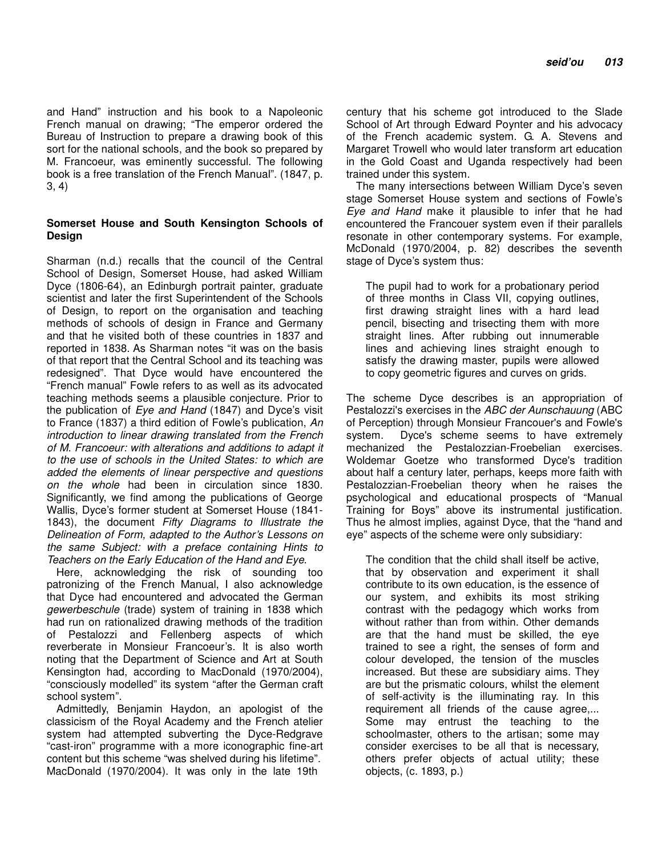and Hand" instruction and his book to a Napoleonic French manual on drawing; "The emperor ordered the Bureau of Instruction to prepare a drawing book of this sort for the national schools, and the book so prepared by M. Francoeur, was eminently successful. The following book is a free translation of the French Manual". (1847, p. 3, 4)

### **Somerset House and South Kensington Schools of Design**

Sharman (n.d.) recalls that the council of the Central School of Design, Somerset House, had asked William Dyce (1806-64), an Edinburgh portrait painter, graduate scientist and later the first Superintendent of the Schools of Design, to report on the organisation and teaching methods of schools of design in France and Germany and that he visited both of these countries in 1837 and reported in 1838. As Sharman notes "it was on the basis of that report that the Central School and its teaching was redesigned". That Dyce would have encountered the "French manual" Fowle refers to as well as its advocated teaching methods seems a plausible conjecture. Prior to the publication of Eye and Hand (1847) and Dyce's visit to France (1837) a third edition of Fowle's publication, An introduction to linear drawing translated from the French of M. Francoeur: with alterations and additions to adapt it to the use of schools in the United States: to which are added the elements of linear perspective and questions on the whole had been in circulation since 1830. Significantly, we find among the publications of George Wallis, Dyce's former student at Somerset House (1841- 1843), the document Fifty Diagrams to Illustrate the Delineation of Form, adapted to the Author's Lessons on the same Subject: with a preface containing Hints to Teachers on the Early Education of the Hand and Eye.

Here, acknowledging the risk of sounding too patronizing of the French Manual, I also acknowledge that Dyce had encountered and advocated the German gewerbeschule (trade) system of training in 1838 which had run on rationalized drawing methods of the tradition of Pestalozzi and Fellenberg aspects of which reverberate in Monsieur Francoeur's. It is also worth noting that the Department of Science and Art at South Kensington had, according to MacDonald (1970/2004), "consciously modelled" its system "after the German craft school system".

Admittedly, Benjamin Haydon, an apologist of the classicism of the Royal Academy and the French atelier system had attempted subverting the Dyce-Redgrave "cast-iron" programme with a more iconographic fine-art content but this scheme "was shelved during his lifetime". MacDonald (1970/2004). It was only in the late 19th

century that his scheme got introduced to the Slade School of Art through Edward Poynter and his advocacy of the French academic system. G. A. Stevens and Margaret Trowell who would later transform art education in the Gold Coast and Uganda respectively had been trained under this system.

The many intersections between William Dyce's seven stage Somerset House system and sections of Fowle's Eye and Hand make it plausible to infer that he had encountered the Francouer system even if their parallels resonate in other contemporary systems. For example, McDonald (1970/2004, p. 82) describes the seventh stage of Dyce's system thus:

The pupil had to work for a probationary period of three months in Class VII, copying outlines, first drawing straight lines with a hard lead pencil, bisecting and trisecting them with more straight lines. After rubbing out innumerable lines and achieving lines straight enough to satisfy the drawing master, pupils were allowed to copy geometric figures and curves on grids.

The scheme Dyce describes is an appropriation of Pestalozzi's exercises in the ABC der Aunschauung (ABC of Perception) through Monsieur Francouer's and Fowle's system. Dyce's scheme seems to have extremely mechanized the Pestalozzian-Froebelian exercises. Woldemar Goetze who transformed Dyce's tradition about half a century later, perhaps, keeps more faith with Pestalozzian-Froebelian theory when he raises the psychological and educational prospects of "Manual Training for Boys" above its instrumental justification. Thus he almost implies, against Dyce, that the "hand and eye" aspects of the scheme were only subsidiary:

The condition that the child shall itself be active, that by observation and experiment it shall contribute to its own education, is the essence of our system, and exhibits its most striking contrast with the pedagogy which works from without rather than from within. Other demands are that the hand must be skilled, the eye trained to see a right, the senses of form and colour developed, the tension of the muscles increased. But these are subsidiary aims. They are but the prismatic colours, whilst the element of self-activity is the illuminating ray. In this requirement all friends of the cause agree,... Some may entrust the teaching to the schoolmaster, others to the artisan; some may consider exercises to be all that is necessary, others prefer objects of actual utility; these objects, (c. 1893, p.)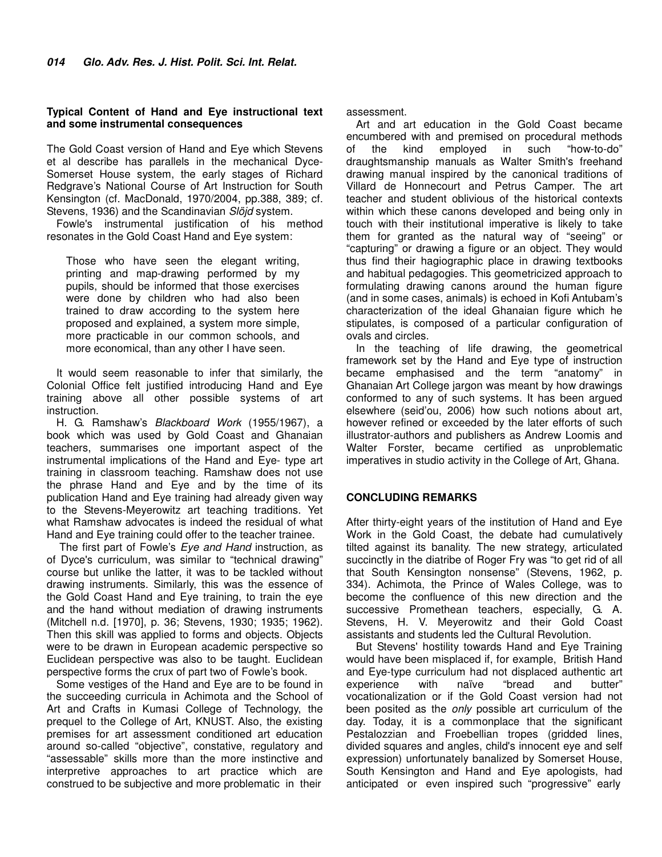#### **Typical Content of Hand and Eye instructional text and some instrumental consequences**

The Gold Coast version of Hand and Eye which Stevens et al describe has parallels in the mechanical Dyce-Somerset House system, the early stages of Richard Redgrave's National Course of Art Instruction for South Kensington (cf. MacDonald, 1970/2004, pp.388, 389; cf. Stevens, 1936) and the Scandinavian Slöjd system.

Fowle's instrumental justification of his method resonates in the Gold Coast Hand and Eye system:

Those who have seen the elegant writing, printing and map-drawing performed by my pupils, should be informed that those exercises were done by children who had also been trained to draw according to the system here proposed and explained, a system more simple, more practicable in our common schools, and more economical, than any other I have seen.

It would seem reasonable to infer that similarly, the Colonial Office felt justified introducing Hand and Eye training above all other possible systems of art instruction.

H. G. Ramshaw's Blackboard Work (1955/1967), a book which was used by Gold Coast and Ghanaian teachers, summarises one important aspect of the instrumental implications of the Hand and Eye- type art training in classroom teaching. Ramshaw does not use the phrase Hand and Eye and by the time of its publication Hand and Eye training had already given way to the Stevens-Meyerowitz art teaching traditions. Yet what Ramshaw advocates is indeed the residual of what Hand and Eye training could offer to the teacher trainee.

The first part of Fowle's Eye and Hand instruction, as of Dyce's curriculum, was similar to "technical drawing" course but unlike the latter, it was to be tackled without drawing instruments. Similarly, this was the essence of the Gold Coast Hand and Eye training, to train the eye and the hand without mediation of drawing instruments (Mitchell n.d. [1970], p. 36; Stevens, 1930; 1935; 1962). Then this skill was applied to forms and objects. Objects were to be drawn in European academic perspective so Euclidean perspective was also to be taught. Euclidean perspective forms the crux of part two of Fowle's book.

Some vestiges of the Hand and Eye are to be found in the succeeding curricula in Achimota and the School of Art and Crafts in Kumasi College of Technology, the prequel to the College of Art, KNUST. Also, the existing premises for art assessment conditioned art education around so-called "objective", constative, regulatory and "assessable" skills more than the more instinctive and interpretive approaches to art practice which are construed to be subjective and more problematic in their

assessment.

Art and art education in the Gold Coast became encumbered with and premised on procedural methods of the kind employed in such "how-to-do" draughtsmanship manuals as Walter Smith's freehand drawing manual inspired by the canonical traditions of Villard de Honnecourt and Petrus Camper. The art teacher and student oblivious of the historical contexts within which these canons developed and being only in touch with their institutional imperative is likely to take them for granted as the natural way of "seeing" or "capturing" or drawing a figure or an object. They would thus find their hagiographic place in drawing textbooks and habitual pedagogies. This geometricized approach to formulating drawing canons around the human figure (and in some cases, animals) is echoed in Kofi Antubam's characterization of the ideal Ghanaian figure which he stipulates, is composed of a particular configuration of ovals and circles.

In the teaching of life drawing, the geometrical framework set by the Hand and Eye type of instruction became emphasised and the term "anatomy" in Ghanaian Art College jargon was meant by how drawings conformed to any of such systems. It has been argued elsewhere (seid'ou, 2006) how such notions about art, however refined or exceeded by the later efforts of such illustrator-authors and publishers as Andrew Loomis and Walter Forster, became certified as unproblematic imperatives in studio activity in the College of Art, Ghana.

### **CONCLUDING REMARKS**

After thirty-eight years of the institution of Hand and Eye Work in the Gold Coast, the debate had cumulatively tilted against its banality. The new strategy, articulated succinctly in the diatribe of Roger Fry was "to get rid of all that South Kensington nonsense" (Stevens, 1962, p. 334). Achimota, the Prince of Wales College, was to become the confluence of this new direction and the successive Promethean teachers, especially, G. A. Stevens, H. V. Meyerowitz and their Gold Coast assistants and students led the Cultural Revolution.

But Stevens' hostility towards Hand and Eye Training would have been misplaced if, for example, British Hand and Eye-type curriculum had not displaced authentic art<br>experience with naïve "bread and butter" experience with naïve "bread and butter" vocationalization or if the Gold Coast version had not been posited as the only possible art curriculum of the day. Today, it is a commonplace that the significant Pestalozzian and Froebellian tropes (gridded lines, divided squares and angles, child's innocent eye and self expression) unfortunately banalized by Somerset House, South Kensington and Hand and Eye apologists, had anticipated or even inspired such "progressive" early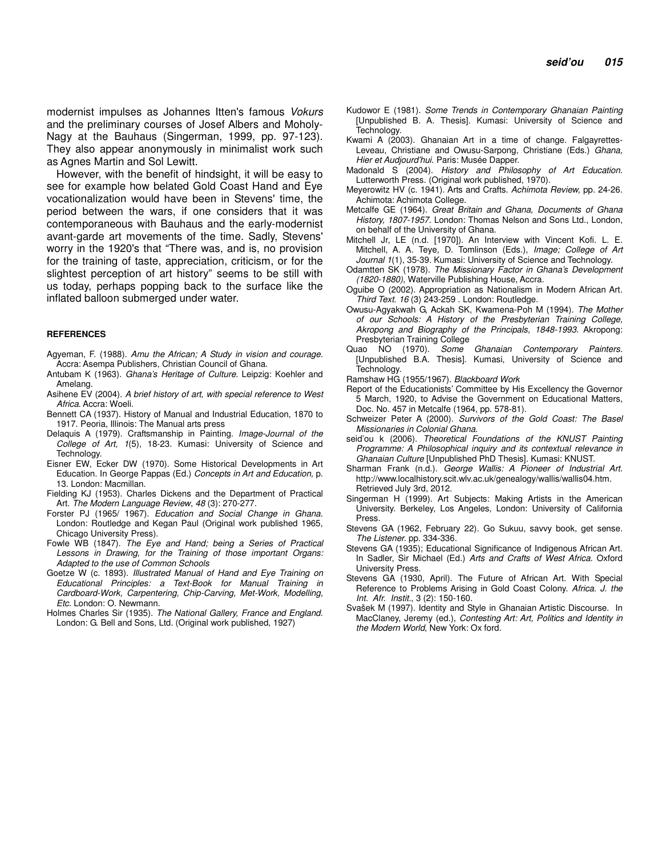modernist impulses as Johannes Itten's famous Vokurs and the preliminary courses of Josef Albers and Moholy-Nagy at the Bauhaus (Singerman, 1999, pp. 97-123). They also appear anonymously in minimalist work such as Agnes Martin and Sol Lewitt.

However, with the benefit of hindsight, it will be easy to see for example how belated Gold Coast Hand and Eye vocationalization would have been in Stevens' time, the period between the wars, if one considers that it was contemporaneous with Bauhaus and the early-modernist avant-garde art movements of the time. Sadly, Stevens' worry in the 1920's that "There was, and is, no provision for the training of taste, appreciation, criticism, or for the slightest perception of art history" seems to be still with us today, perhaps popping back to the surface like the inflated balloon submerged under water.

#### **REFERENCES**

- Agyeman, F. (1988). Amu the African; A Study in vision and courage. Accra: Asempa Publishers, Christian Council of Ghana.
- Antubam K (1963). Ghana's Heritage of Culture. Leipzig: Koehler and Amelang.
- Asihene EV (2004). A brief history of art, with special reference to West Africa. Accra: Woeli.
- Bennett CA (1937). History of Manual and Industrial Education, 1870 to 1917. Peoria, Illinois: The Manual arts press
- Delaquis A (1979). Craftsmanship in Painting. Image-Journal of the College of Art, 1(5), 18-23. Kumasi: University of Science and Technology.
- Eisner EW, Ecker DW (1970). Some Historical Developments in Art Education. In George Pappas (Ed.) Concepts in Art and Education, p. 13. London: Macmillan.
- Fielding KJ (1953). Charles Dickens and the Department of Practical Art. The Modern Language Review, 48 (3): 270-277.
- Forster PJ (1965/ 1967). Education and Social Change in Ghana. London: Routledge and Kegan Paul (Original work published 1965, Chicago University Press).
- Fowle WB (1847). The Eye and Hand; being a Series of Practical Lessons in Drawing, for the Training of those important Organs: Adapted to the use of Common Schools
- Goetze W (c. 1893). Illustrated Manual of Hand and Eye Training on Educational Principles: a Text-Book for Manual Training in Cardboard-Work, Carpentering, Chip-Carving, Met-Work, Modelling, Etc. London: O. Newmann.
- Holmes Charles Sir (1935). The National Gallery, France and England. London: G. Bell and Sons, Ltd. (Original work published, 1927)
- Kudowor E (1981). Some Trends in Contemporary Ghanaian Painting [Unpublished B. A. Thesis]. Kumasi: University of Science and **Technology**
- Kwami A (2003). Ghanaian Art in a time of change. Falgayrettes-Leveau, Christiane and Owusu-Sarpong, Christiane (Eds.) Ghana, Hier et Audjourd'hui. Paris: Musée Dapper.
- Madonald S (2004). History and Philosophy of Art Education. Lutterworth Press. (Original work published, 1970).
- Meyerowitz HV (c. 1941). Arts and Crafts. Achimota Review, pp. 24-26. Achimota: Achimota College.
- Metcalfe GE (1964). Great Britain and Ghana, Documents of Ghana History, 1807-1957. London: Thomas Nelson and Sons Ltd., London, on behalf of the University of Ghana.
- Mitchell Jr, LE (n.d. [1970]). An Interview with Vincent Kofi. L. E. Mitchell, A. A. Teye, D. Tomlinson (Eds.), Image; College of Art Journal 1(1), 35-39. Kumasi: University of Science and Technology.
- Odamtten SK (1978). The Missionary Factor in Ghana's Development (1820-1880), Waterville Publishing House, Accra.
- Oguibe O (2002). Appropriation as Nationalism in Modern African Art. Third Text. 16 (3) 243-259 . London: Routledge.
- Owusu-Agyakwah G, Ackah SK, Kwamena-Poh M (1994). The Mother of our Schools: A History of the Presbyterian Training College, Akropong and Biography of the Principals, 1848-1993. Akropong: Presbyterian Training College
- Quao NO (1970). Some Ghanaian Contemporary Painters. [Unpublished B.A. Thesis]. Kumasi, University of Science and Technology.
- Ramshaw HG (1955/1967). Blackboard Work
- Report of the Educationists' Committee by His Excellency the Governor 5 March, 1920, to Advise the Government on Educational Matters, Doc. No. 457 in Metcalfe (1964, pp. 578-81).
- Schweizer Peter A (2000). Survivors of the Gold Coast: The Basel Missionaries in Colonial Ghana.
- seid'ou k (2006). Theoretical Foundations of the KNUST Painting Programme: A Philosophical inquiry and its contextual relevance in Ghanaian Culture [Unpublished PhD Thesis]. Kumasi: KNUST.
- Sharman Frank (n.d.). George Wallis: A Pioneer of Industrial Art. http://www.localhistory.scit.wlv.ac.uk/genealogy/wallis/wallis04.htm. Retrieved July 3rd, 2012.
- Singerman H (1999). Art Subjects: Making Artists in the American University. Berkeley, Los Angeles, London: University of California Press.
- Stevens GA (1962, February 22). Go Sukuu, savvy book, get sense. The Listener. pp. 334-336.
- Stevens GA (1935); Educational Significance of Indigenous African Art. In Sadler, Sir Michael (Ed.) Arts and Crafts of West Africa. Oxford University Press.
- Stevens GA (1930, April). The Future of African Art. With Special Reference to Problems Arising in Gold Coast Colony. Africa. J. the Int. Afr. Instit., 3 (2): 150-160.
- Svašek M (1997). Identity and Style in Ghanaian Artistic Discourse. In MacClaney, Jeremy (ed.), Contesting Art: Art, Politics and Identity in the Modern World, New York: Ox ford.